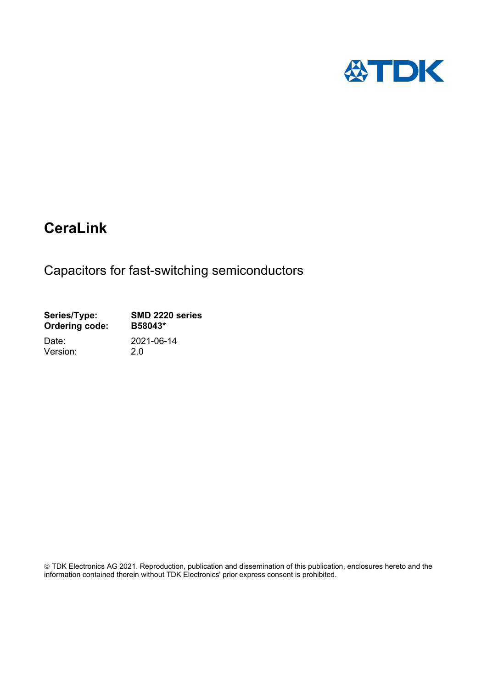

# **CeraLink**

Capacitors for fast-switching semiconductors

| Series/Type:          | SMD 2220 series |
|-----------------------|-----------------|
| <b>Ordering code:</b> | B58043*         |
| Date:                 | 2021-06-14      |
| Version:              | 20              |

 TDK Electronics AG 2021. Reproduction, publication and dissemination of this publication, enclosures hereto and the information contained therein without TDK Electronics' prior express consent is prohibited.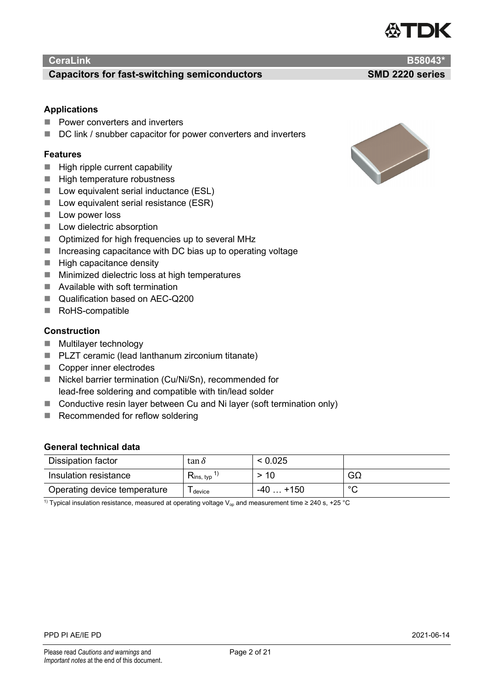

#### **Capacitors for fast-switching semiconductors SMD 2220 series**

#### **Applications**

- **Power converters and inverters**
- DC link / snubber capacitor for power converters and inverters

#### **Features**

- $\blacksquare$  High ripple current capability
- $\blacksquare$  High temperature robustness
- Low equivalent serial inductance (ESL)
- $\blacksquare$  Low equivalent serial resistance (ESR)
- $\blacksquare$  Low power loss
- **Low dielectric absorption**
- Optimized for high frequencies up to several MHz
- $\blacksquare$  Increasing capacitance with DC bias up to operating voltage
- $\blacksquare$  High capacitance density
- $\blacksquare$  Minimized dielectric loss at high temperatures
- Available with soft termination
- Qualification based on AEC-Q200
- RoHS-compatible

#### **Construction**

- **Multilayer technology**
- PLZT ceramic (lead lanthanum zirconium titanate)
- Copper inner electrodes
- Nickel barrier termination (Cu/Ni/Sn), recommended for lead-free soldering and compatible with tin/lead solder
- Conductive resin layer between Cu and Ni layer (soft termination only)
- Recommended for reflow soldering

#### **General technical data**

| Dissipation factor           | tan $\delta$                        | < 0.025   |         |
|------------------------------|-------------------------------------|-----------|---------|
| Insulation resistance        | $\mathsf{R}_{\mathsf{ins, \, typ}}$ | > 10      | GΩ      |
| Operating device temperature | device                              | $-40+150$ | $\circ$ |

<sup>1)</sup> Typical insulation resistance, measured at operating voltage V<sub>op</sub> and measurement time ≥ 240 s, +25 °C

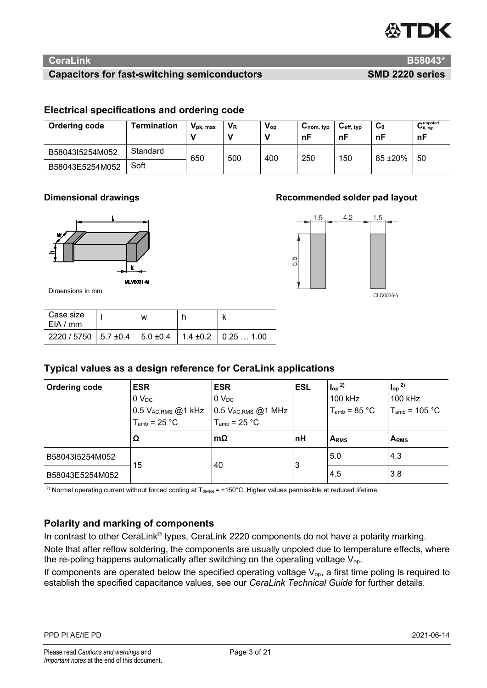

# **Capacitors for fast-switching semiconductors SMD 2220 series**

 $4.2$ 

1.5

CLC0036-Y

 $1.5$ 

5.9

# **Electrical specifications and ordering code**

| Ordering code   | Termination | $V_{\rm pk, max}$ | $V_{R}$ | $V_{op}$ | $\mathsf{v}_{\mathsf{nom},\,\mathsf{typ}}$<br>nF | $U_{\text{eff, typ}}$<br>nF | $\mathbf{C}_0$<br>nF | ~unpoled<br>$\mathbf{U}_{0, \text{ typ}}$<br>nF |
|-----------------|-------------|-------------------|---------|----------|--------------------------------------------------|-----------------------------|----------------------|-------------------------------------------------|
| B58043I5254M052 | Standard    | 650               | 500     | 400      | 250                                              | 150                         | 85 ± 20%             | 50                                              |
| B58043E5254M052 | Soft        |                   |         |          |                                                  |                             |                      |                                                 |

# **Dimensional drawings Recommended solder pad layout**



Dimensions in mm

| Case size<br>EIA/mm                                         | w |  |
|-------------------------------------------------------------|---|--|
| $2220 / 5750$   5.7 ±0.4   5.0 ±0.4   1.4 ±0.2   0.25  1.00 |   |  |

# **Typical values as a design reference for CeraLink applications**

| <b>Ordering code</b> | <b>ESR</b><br>0 <sub>DC</sub><br>$0.5$ $V_{\rm AC,RMS}$ $@1$ $\rm kHz$<br>$T_{\text{amb}}$ = 25 °C | <b>ESR</b><br>0 <sub>DC</sub><br>$0.5$ V <sub>AC,RMS</sub> @1 MHz<br>$T_{\text{amb}}$ = 25 °C | <b>ESL</b> | $\int_{\text{op}}^{2}$<br>100 kHz<br>$T_{amb}$ = 85 °C | $\int_{op}^{2)}$<br>100 kHz<br>$T_{\text{amb}}$ = 105 °C |
|----------------------|----------------------------------------------------------------------------------------------------|-----------------------------------------------------------------------------------------------|------------|--------------------------------------------------------|----------------------------------------------------------|
|                      | Ω                                                                                                  | $\sf{Im}\Omega$                                                                               | nH         | ARMS                                                   | ARMS                                                     |
| B58043I5254M052      | 15                                                                                                 | 40                                                                                            | 3          | 5.0                                                    | 4.3                                                      |
| B58043E5254M052      |                                                                                                    |                                                                                               |            | 4.5                                                    | 3.8                                                      |

<sup>2)</sup> Normal operating current without forced cooling at  $T_{\text{device}} = +150^{\circ}$ C. Higher values permissible at reduced lifetime.

# **Polarity and marking of components**

In contrast to other CeraLink® types, CeraLink 2220 components do not have a polarity marking. Note that after reflow soldering, the components are usually unpoled due to temperature effects, where the re-poling happens automatically after switching on the operating voltage  $V_{op}$ .

If components are operated below the specified operating voltage  $V_{op}$ , a first time poling is required to establish the specified capacitance values, see our *CeraLink Technical Guide* for further details.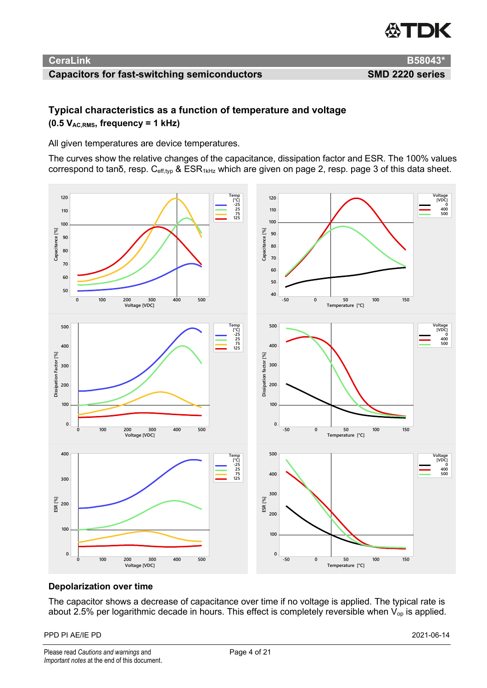

# **Capacitors for fast-switching semiconductors SMD 2220 series**

**CeraLink B58043\***

# **Typical characteristics as a function of temperature and voltage (0.5 VAC,RMS, frequency = 1 kHz)**

All given temperatures are device temperatures.

The curves show the relative changes of the capacitance, dissipation factor and ESR. The 100% values correspond to tanδ, resp.  $C_{eff,tv}$  & ESR<sub>1kHz</sub> which are given on page 2, resp. page 3 of this data sheet.



# **Depolarization over time**

The capacitor shows a decrease of capacitance over time if no voltage is applied. The typical rate is about 2.5% per logarithmic decade in hours. This effect is completely reversible when  $V_{op}$  is applied.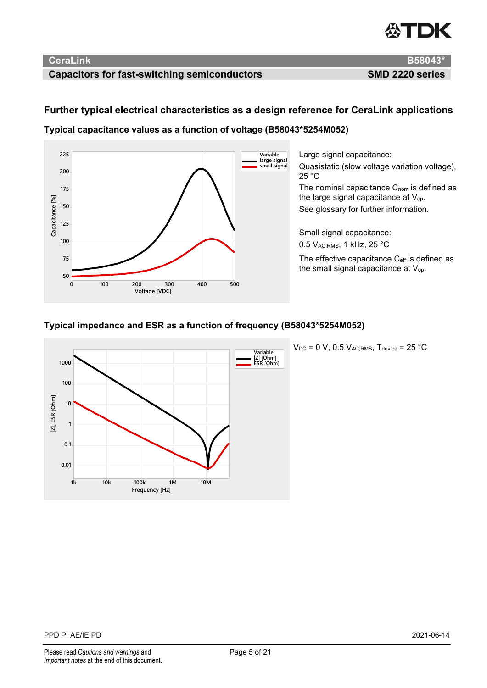# *EXTER*

# **CeraLink B58043\***

# **Capacitors for fast-switching semiconductors SMD 2220 series**

# **Further typical electrical characteristics as a design reference for CeraLink applications**

**Typical capacitance values as a function of voltage (B58043\*5254M052)**



Large signal capacitance: Quasistatic (slow voltage variation voltage), 25 °C The nominal capacitance  $C_{\text{nom}}$  is defined as the large signal capacitance at  $V_{op}$ . See glossary for further information. Small signal capacitance:

0.5 VAC,RMS, 1 kHz, 25 °C

The effective capacitance C<sub>eff</sub> is defined as the small signal capacitance at V<sub>op</sub>.

# **Typical impedance and ESR as a function of frequency (B58043\*5254M052)**



 $V_{DC}$  = 0 V, 0.5  $V_{AC,RMS}$ , T<sub>device</sub> = 25 °C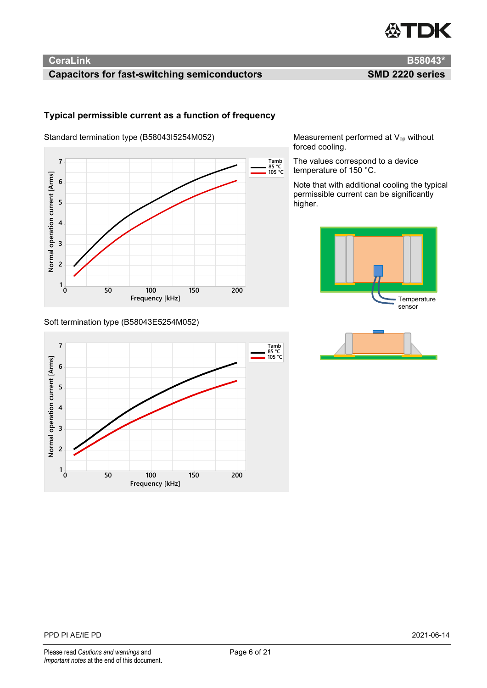

# **Capacitors for fast-switching semiconductors SMD 2220 series**

#### **Typical permissible current as a function of frequency**

Standard termination type (B58043I5254M052)



#### Soft termination type (B58043E5254M052)



Measurement performed at V<sub>op</sub> without forced cooling.

The values correspond to a device temperature of 150 °C.

Note that with additional cooling the typical permissible current can be significantly higher.



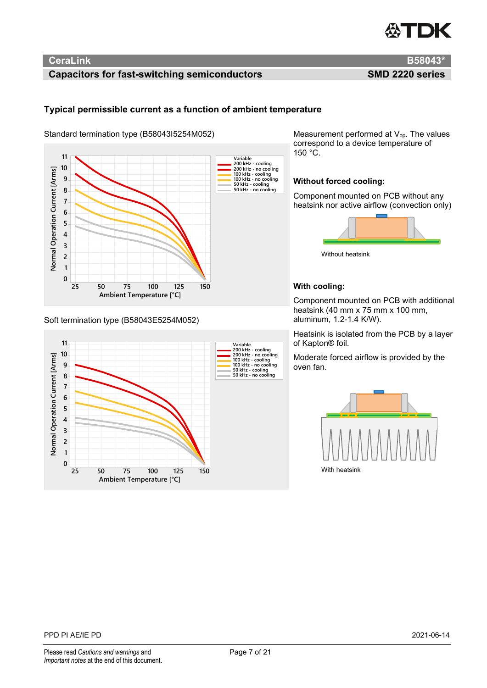

# **Capacitors for fast-switching semiconductors SMD 2220 series**

#### **Typical permissible current as a function of ambient temperature**

Standard termination type (B58043I5254M052)



#### Soft termination type (B58043E5254M052)



Measurement performed at V<sub>op</sub>. The values correspond to a device temperature of 150 °C.

#### **Without forced cooling:**

Component mounted on PCB without any heatsink nor active airflow (convection only)



Without heatsink

#### **With cooling:**

Component mounted on PCB with additional heatsink (40 mm x 75 mm x 100 mm, aluminum, 1.2-1.4 K/W).

Heatsink is isolated from the PCB by a layer of Kapton® foil.

Moderate forced airflow is provided by the oven fan.

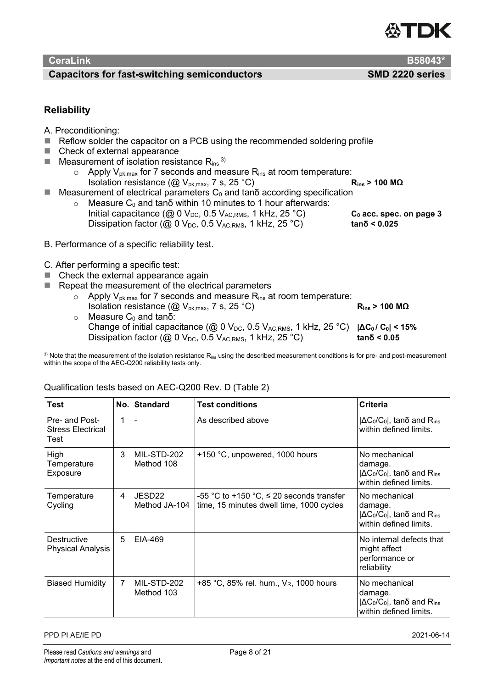

#### **Capacitors for fast-switching semiconductors SMD 2220 series**

# **Reliability**

- A. Preconditioning:
- Reflow solder the capacitor on a PCB using the recommended soldering profile
- Check of external appearance
- **Measurement of isolation resistance R**<sub>ins</sub><sup>3)</sup>
	- ο Apply V<sub>pk,max</sub> for 7 seconds and measure R<sub>ins</sub> at room temperature:<br>Isolation resistance (@ V<sub>pk,max</sub>, 7 s, 25 °C) **Ring > 100 MΩ Isolation resistance (@ V<sub>pk,max</sub>, 7 s, 25 °C)**
- $\blacksquare$  Measurement of electrical parameters  $C_0$  and tan $\delta$  according specification
	- $\circ$  Measure C<sub>0</sub> and tanδ within 10 minutes to 1 hour afterwards: Initial capacitance (@ 0 V<sub>DC</sub>, 0.5 V<sub>AC,RMS</sub>, 1 kHz, 25 °C) **Co** acc. spec. on page 3  $Dissipation factor$  ( $\omega$  0  $V_{DC}$ , 0.5  $V_{AC,RMS}$ , 1 kHz, 25 °C) **tanδ < 0.025**

- B. Performance of a specific reliability test.
- C. After performing a specific test:
- Check the external appearance again
- Repeat the measurement of the electrical parameters
	- $\circ$  Apply V<sub>pk,max</sub> for 7 seconds and measure R<sub>ins</sub> at room temperature: Isolation resistance  $(\textcircled{a}$  V<sub>pk,max</sub>, 7 s, 25 °C) **R**<sub>ins</sub> > 100 MΩ
	- $\circ$  Measure C<sub>0</sub> and tanδ: Change of initial capacitance (@ 0 V<sub>DC</sub>, 0.5 V<sub>AC RMS</sub>, 1 kHz, 25 °C) **|ΔC<sub>0</sub> / C<sub>0</sub>| < 15%**  $Disspation factor$  ( $@$   $0$   $V_{DC}$ ,  $0.5$   $V_{AC,RMS}$ ,  $1$  kHz,  $25$   $°C$ ) **tan** $δ$  **< 0.05**

 $3)$  Note that the measurement of the isolation resistance  $R_{ins}$  using the described measurement conditions is for pre- and post-measurement within the scope of the AEC-Q200 reliability tests only.

| Test                                               | No. | <b>Standard</b>                     | <b>Test conditions</b>                                                                    | Criteria                                                                                 |
|----------------------------------------------------|-----|-------------------------------------|-------------------------------------------------------------------------------------------|------------------------------------------------------------------------------------------|
| Pre- and Post-<br><b>Stress Electrical</b><br>Test | 1   |                                     | As described above                                                                        | $ \Delta C_0/C_0 $ , tano and Rins<br>within defined limits.                             |
| High<br>Temperature<br>Exposure                    | 3   | MIL-STD-202<br>Method 108           | +150 °C, unpowered, 1000 hours                                                            | No mechanical<br>damage.<br>$ \Delta C_0/C_0 $ , tano and Rins<br>within defined limits. |
| Temperature<br>Cycling                             | 4   | JESD <sub>22</sub><br>Method JA-104 | -55 °C to +150 °C, $\leq$ 20 seconds transfer<br>time, 15 minutes dwell time, 1000 cycles | No mechanical<br>damage.<br>$ \Delta C_0/C_0 $ , tano and Rins<br>within defined limits. |
| Destructive<br><b>Physical Analysis</b>            | 5   | EIA-469                             |                                                                                           | No internal defects that<br>might affect<br>performance or<br>reliability                |
| <b>Biased Humidity</b>                             | 7   | MIL-STD-202<br>Method 103           | +85 °C, 85% rel. hum., $V_R$ , 1000 hours                                                 | No mechanical<br>damage.<br>$ \Delta C_0/C_0 $ , tano and Rins<br>within defined limits. |

# Qualification tests based on AEC-Q200 Rev. D (Table 2)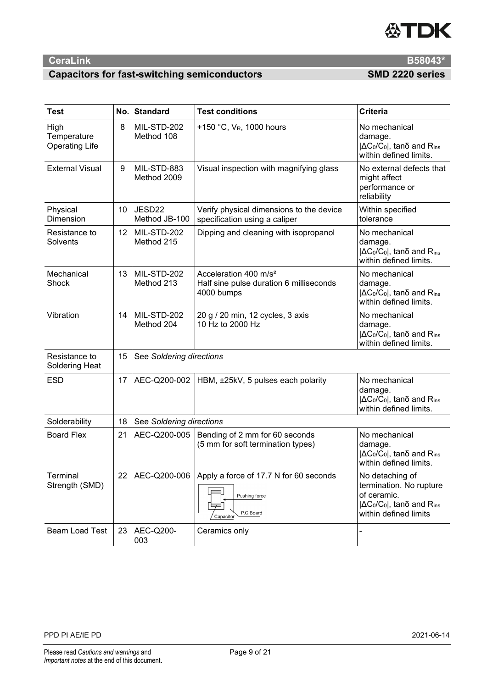

# **Capacitors for fast-switching semiconductors SMD 2220 series**

| <b>Test</b>                                  | No. | <b>Standard</b>            | <b>Test conditions</b>                                                                     | <b>Criteria</b>                                                                                                                      |
|----------------------------------------------|-----|----------------------------|--------------------------------------------------------------------------------------------|--------------------------------------------------------------------------------------------------------------------------------------|
| High<br>Temperature<br><b>Operating Life</b> | 8   | MIL-STD-202<br>Method 108  | +150 °C, V <sub>R</sub> , 1000 hours                                                       | No mechanical<br>damage.<br>$ \Delta C_0/C_0 $ , tano and Rins<br>within defined limits.                                             |
| <b>External Visual</b>                       | 9   | MIL-STD-883<br>Method 2009 | Visual inspection with magnifying glass                                                    | No external defects that<br>might affect<br>performance or<br>reliability                                                            |
| Physical<br>Dimension                        | 10  | JESD22<br>Method JB-100    | Verify physical dimensions to the device<br>specification using a caliper                  | Within specified<br>tolerance                                                                                                        |
| Resistance to<br>Solvents                    | 12  | MIL-STD-202<br>Method 215  | Dipping and cleaning with isopropanol                                                      | No mechanical<br>damage.<br>$ \Delta C_0/C_0 $ , tano and Rins<br>within defined limits.                                             |
| Mechanical<br>Shock                          | 13  | MIL-STD-202<br>Method 213  | Acceleration 400 m/s <sup>2</sup><br>Half sine pulse duration 6 milliseconds<br>4000 bumps | No mechanical<br>damage.<br>$ \Delta C_0/C_0 $ , tano and Rins<br>within defined limits.                                             |
| Vibration                                    | 14  | MIL-STD-202<br>Method 204  | 20 g / 20 min, 12 cycles, 3 axis<br>10 Hz to 2000 Hz                                       | No mechanical<br>damage.<br>$ \Delta C_0/C_0 $ , tanδ and Rins<br>within defined limits.                                             |
| Resistance to<br>Soldering Heat              | 15  | See Soldering directions   |                                                                                            |                                                                                                                                      |
| <b>ESD</b>                                   | 17  | AEC-Q200-002               | HBM, ±25kV, 5 pulses each polarity                                                         | No mechanical<br>damage.<br>$ \Delta C_0/C_0 $ , tano and Rins<br>within defined limits.                                             |
| Solderability                                | 18  | See Soldering directions   |                                                                                            |                                                                                                                                      |
| <b>Board Flex</b>                            | 21  | AEC-Q200-005               | Bending of 2 mm for 60 seconds<br>(5 mm for soft termination types)                        | No mechanical<br>damage.<br>$ \Delta C_0/C_0 $ , tano and Rins<br>within defined limits.                                             |
| Terminal<br>Strength (SMD)                   | 22  | AEC-Q200-006               | Apply a force of 17.7 N for 60 seconds<br>Pushing force<br>P.C.Board<br>Capacitor          | No detaching of<br>termination. No rupture<br>of ceramic.<br>$ \Delta C_0/C_0 $ , tano and R <sub>ins</sub><br>within defined limits |
| <b>Beam Load Test</b>                        | 23  | AEC-Q200-<br>003           | Ceramics only                                                                              |                                                                                                                                      |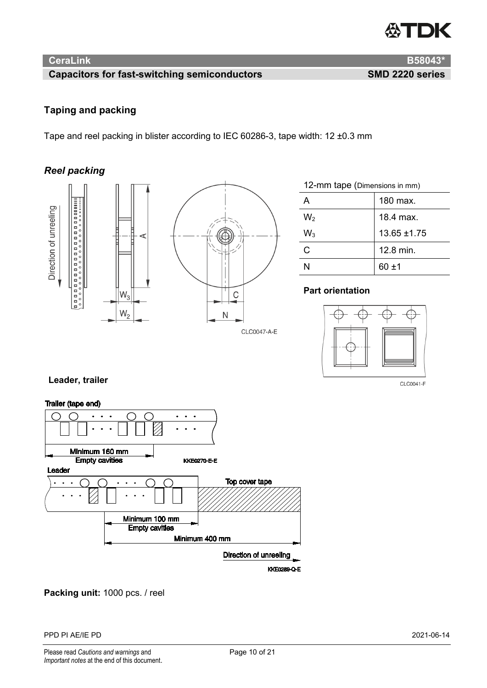

# **Capacitors for fast-switching semiconductors SMD 2220 series**

# **Taping and packing**

Tape and reel packing in blister according to IEC 60286-3, tape width: 12 ±0.3 mm

# *Reel packing*





| 12-mm tape (Dimensions in mm) |                  |
|-------------------------------|------------------|
|                               | 180 max.         |
| W <sub>2</sub>                | 18.4 max.        |
| $W_3$                         | $13.65 \pm 1.75$ |
| C                             | 12.8 min.        |
|                               | 60 +1            |

# **Part orientation**



CLC0041-F

# **Leader, trailer**



**Packing unit:** 1000 pcs. / reel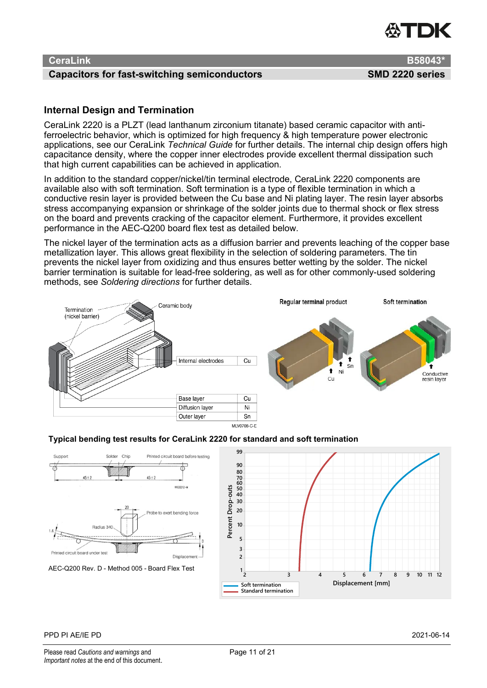#### **Capacitors for fast-switching semiconductors SMD 2220 series**

# **Internal Design and Termination**

CeraLink 2220 is a PLZT (lead lanthanum zirconium titanate) based ceramic capacitor with antiferroelectric behavior, which is optimized for high frequency & high temperature power electronic applications, see our CeraLink *Technical Guide* for further details. The internal chip design offers high capacitance density, where the copper inner electrodes provide excellent thermal dissipation such that high current capabilities can be achieved in application.

In addition to the standard copper/nickel/tin terminal electrode, CeraLink 2220 components are available also with soft termination. Soft termination is a type of flexible termination in which a conductive resin layer is provided between the Cu base and Ni plating layer. The resin layer absorbs stress accompanying expansion or shrinkage of the solder joints due to thermal shock or flex stress on the board and prevents cracking of the capacitor element. Furthermore, it provides excellent performance in the AEC-Q200 board flex test as detailed below.

The nickel layer of the termination acts as a diffusion barrier and prevents leaching of the copper base metallization layer. This allows great flexibility in the selection of soldering parameters. The tin prevents the nickel layer from oxidizing and thus ensures better wetting by the solder. The nickel barrier termination is suitable for lead-free soldering, as well as for other commonly-used soldering methods, see *[Soldering directions](#page-11-0)* for further details.



#### **Typical bending test results for CeraLink 2220 for standard and soft termination**

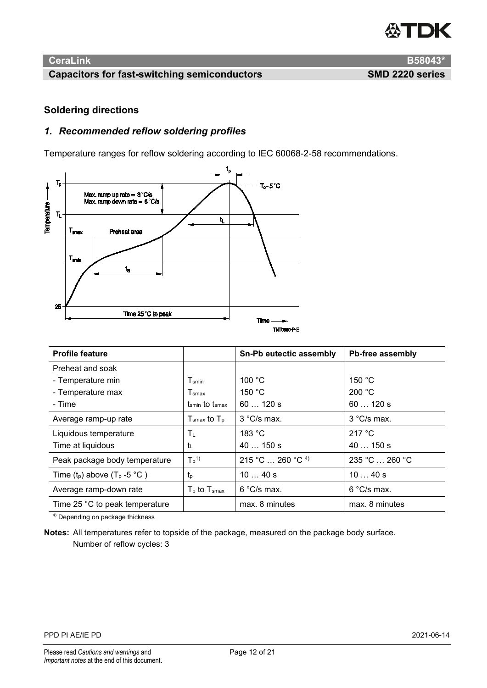

# **Capacitors for fast-switching semiconductors SMD 2220 series**

**CeraLink B58043\***

### <span id="page-11-0"></span>**Soldering directions**

# *1. Recommended reflow soldering profiles*

Temperature ranges for reflow soldering according to IEC 60068-2-58 recommendations.



| <b>Profile feature</b>            |                              | Sn-Pb eutectic assembly | Pb-free assembly     |
|-----------------------------------|------------------------------|-------------------------|----------------------|
| Preheat and soak                  |                              |                         |                      |
| - Temperature min                 | T <sub>smin</sub>            | 100 °C                  | 150 °C               |
| - Temperature max                 | $\mathsf{T}_{\mathsf{smax}}$ | 150 $\degree$ C         | 200 °C               |
| - Time                            | tsmin to tsmax               | 60120 s                 | $60120$ s            |
| Average ramp-up rate              | $Tsmax$ to $Tp$              | $3 °C/s$ max.           | $3^{\circ}$ C/s max. |
| Liquidous temperature             | $\mathsf{T}_\mathsf{L}$      | 183 °C                  | 217 $\degree$ C      |
| Time at liquidous                 | t                            | $40150$ s               | $40150$ s            |
| Peak package body temperature     | $T_p$ <sup>1)</sup>          | 215 °C  260 °C 4        | 235 °C  260 °C       |
| Time $(t_p)$ above $(T_p - 5 °C)$ | $t_{p}$                      | 1040 s                  | 1040 s               |
| Average ramp-down rate            | $T_{p}$ to $T_{smax}$        | $6^{\circ}$ C/s max.    | $6^{\circ}$ C/s max. |
| Time 25 °C to peak temperature    |                              | max. 8 minutes          | max. 8 minutes       |

4) Depending on package thickness

**Notes:** All temperatures refer to topside of the package, measured on the package body surface. Number of reflow cycles: 3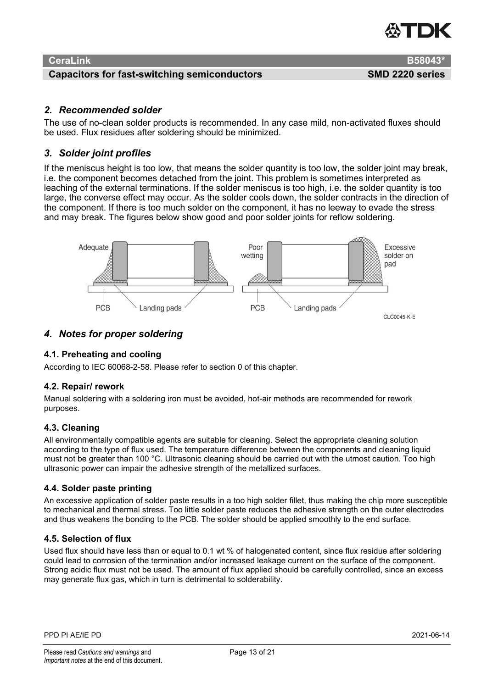

#### **Capacitors for fast-switching semiconductors SMD 2220 series**

#### *2. Recommended solder*

The use of no-clean solder products is recommended. In any case mild, non-activated fluxes should be used. Flux residues after soldering should be minimized.

### *3. Solder joint profiles*

If the meniscus height is too low, that means the solder quantity is too low, the solder joint may break, i.e. the component becomes detached from the joint. This problem is sometimes interpreted as leaching of the external terminations. If the solder meniscus is too high, i.e. the solder quantity is too large, the converse effect may occur. As the solder cools down, the solder contracts in the direction of the component. If there is too much solder on the component, it has no leeway to evade the stress and may break. The figures below show good and poor solder joints for reflow soldering.



#### *4. Notes for proper soldering*

#### **4.1. Preheating and cooling**

According to IEC 60068-2-58. Please refer to section [0](#page-11-0) of this chapter.

#### **4.2. Repair/ rework**

Manual soldering with a soldering iron must be avoided, hot-air methods are recommended for rework purposes.

#### **4.3. Cleaning**

All environmentally compatible agents are suitable for cleaning. Select the appropriate cleaning solution according to the type of flux used. The temperature difference between the components and cleaning liquid must not be greater than 100 °C. Ultrasonic cleaning should be carried out with the utmost caution. Too high ultrasonic power can impair the adhesive strength of the metallized surfaces.

#### **4.4. Solder paste printing**

An excessive application of solder paste results in a too high solder fillet, thus making the chip more susceptible to mechanical and thermal stress. Too little solder paste reduces the adhesive strength on the outer electrodes and thus weakens the bonding to the PCB. The solder should be applied smoothly to the end surface.

#### **4.5. Selection of flux**

Used flux should have less than or equal to 0.1 wt % of halogenated content, since flux residue after soldering could lead to corrosion of the termination and/or increased leakage current on the surface of the component. Strong acidic flux must not be used. The amount of flux applied should be carefully controlled, since an excess may generate flux gas, which in turn is detrimental to solderability.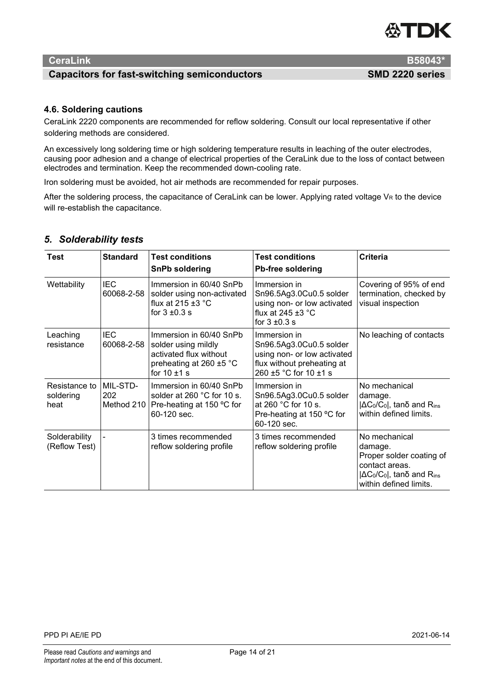# *EXTER*

# **CeraLink B58043\***

#### **Capacitors for fast-switching semiconductors SMD 2220 series**

# **4.6. Soldering cautions**

CeraLink 2220 components are recommended for reflow soldering. Consult our local representative if other soldering methods are considered.

An excessively long soldering time or high soldering temperature results in leaching of the outer electrodes, causing poor adhesion and a change of electrical properties of the CeraLink due to the loss of contact between electrodes and termination. Keep the recommended down-cooling rate.

Iron soldering must be avoided, hot air methods are recommended for repair purposes.

After the soldering process, the capacitance of CeraLink can be lower. Applying rated voltage  $V_R$  to the device will re-establish the capacitance.

| Test                               | <b>Standard</b>               | <b>Test conditions</b><br><b>SnPb soldering</b>                                                                              | <b>Test conditions</b><br><b>Pb-free soldering</b>                                                                            | Criteria                                                                                                                                           |
|------------------------------------|-------------------------------|------------------------------------------------------------------------------------------------------------------------------|-------------------------------------------------------------------------------------------------------------------------------|----------------------------------------------------------------------------------------------------------------------------------------------------|
| Wettability                        | <b>IEC</b><br>60068-2-58      | Immersion in 60/40 SnPb<br>solder using non-activated<br>flux at $215 \pm 3$ °C<br>for $3 \pm 0.3$ s                         | Immersion in<br>Sn96.5Ag3.0Cu0.5 solder<br>using non- or low activated<br>flux at 245 $\pm$ 3 °C<br>for $3 \pm 0.3$ s         | Covering of 95% of end<br>termination, checked by<br>visual inspection                                                                             |
| Leaching<br>resistance             | <b>IEC</b><br>60068-2-58      | Immersion in 60/40 SnPb<br>solder using mildly<br>activated flux without<br>preheating at 260 $\pm$ 5 °C<br>for $10 \pm 1$ s | Immersion in<br>Sn96.5Ag3.0Cu0.5 solder<br>using non- or low activated<br>flux without preheating at<br>260 ±5 °C for 10 ±1 s | No leaching of contacts                                                                                                                            |
| Resistance to<br>soldering<br>heat | MIL-STD-<br>202<br>Method 210 | Immersion in 60/40 SnPb<br>solder at 260 °C for 10 s.<br>Pre-heating at 150 °C for<br>60-120 sec.                            | Immersion in<br>Sn96.5Ag3.0Cu0.5 solder<br>at 260 °C for 10 s.<br>Pre-heating at 150 °C for<br>60-120 sec.                    | No mechanical<br>damage.<br>$ \Delta C_0/C_0 $ , tan $\delta$ and R <sub>ins</sub><br>within defined limits.                                       |
| Solderability<br>(Reflow Test)     |                               | 3 times recommended<br>reflow soldering profile                                                                              | 3 times recommended<br>reflow soldering profile                                                                               | No mechanical<br>damage.<br>Proper solder coating of<br>contact areas.<br>$ \Delta C_0/C_0 $ , tano and R <sub>ins</sub><br>within defined limits. |

# *5. Solderability tests*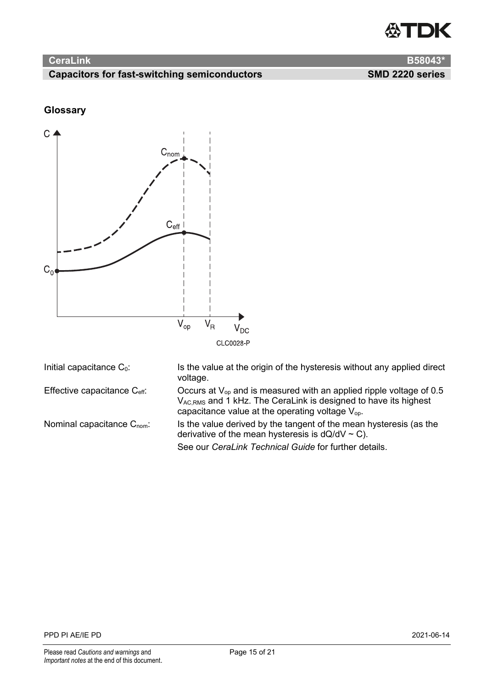

# **Capacitors for fast-switching semiconductors SMD 2220 series**

# **Glossary**



|  |  | Initial capacitance $C_0$ : |  |
|--|--|-----------------------------|--|
|--|--|-----------------------------|--|

Is the value at the origin of the hysteresis without any applied direct voltage. Effective capacitance  $C_{\text{eff}}$ : Occurs at  $V_{op}$  and is measured with an applied ripple voltage of 0.5

 $\rm V_{AC,RMS}$  and 1 kHz. The CeraLink is designed to have its highest capacitance value at the operating voltage  $\mathsf{V}_{\mathsf{op}}.$ Nominal capacitance  $C_{\text{nom}}$ : Is the value derived by the tangent of the mean hysteresis (as the

derivative of the mean hysteresis is  $dQ/dV \sim C$ ).

See our *CeraLink Technical Guide* for further details.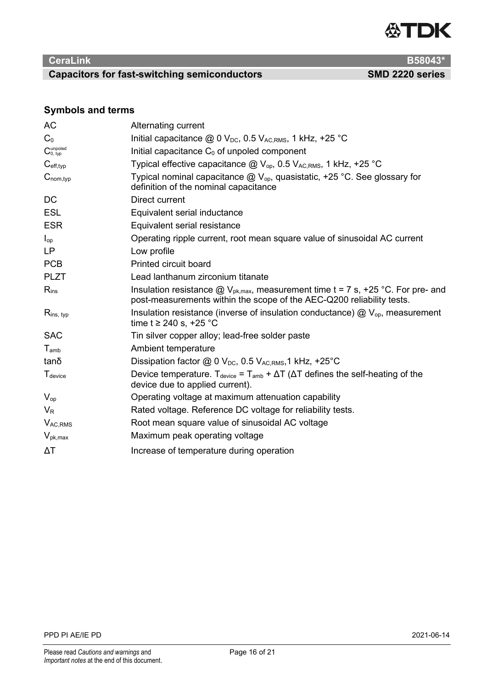

# **Capacitors for fast-switching semiconductors SMD 2220 series**

# **Symbols and terms**

| AC                               | Alternating current                                                                                                                                           |
|----------------------------------|---------------------------------------------------------------------------------------------------------------------------------------------------------------|
| C <sub>0</sub>                   | Initial capacitance $@$ 0 $V_{DC}$ , 0.5 $V_{AC,RMS}$ , 1 kHz, +25 °C                                                                                         |
| $C_{0, \, typ}^{\text{unpoled}}$ | Initial capacitance $C_0$ of unpoled component                                                                                                                |
| $C_{\text{eff,typ}}$             | Typical effective capacitance $@V_{op}$ , 0.5 $V_{AC,RMS}$ , 1 kHz, +25 °C                                                                                    |
| $C_{nom, typ}$                   | Typical nominal capacitance $@V_{op}$ , quasistatic, +25 °C. See glossary for<br>definition of the nominal capacitance                                        |
| DC                               | Direct current                                                                                                                                                |
| <b>ESL</b>                       | Equivalent serial inductance                                                                                                                                  |
| <b>ESR</b>                       | Equivalent serial resistance                                                                                                                                  |
| $I_{op}$                         | Operating ripple current, root mean square value of sinusoidal AC current                                                                                     |
| LP                               | Low profile                                                                                                                                                   |
| <b>PCB</b>                       | <b>Printed circuit board</b>                                                                                                                                  |
| <b>PLZT</b>                      | Lead lanthanum zirconium titanate                                                                                                                             |
| $R_{ins}$                        | Insulation resistance $@V_{pk,max}$ , measurement time t = 7 s, +25 °C. For pre- and<br>post-measurements within the scope of the AEC-Q200 reliability tests. |
| $R_{ins, typ}$                   | Insulation resistance (inverse of insulation conductance) $\textcircled{a}$ V <sub>op</sub> , measurement<br>time t ≥ 240 s, +25 °C                           |
| <b>SAC</b>                       | Tin silver copper alloy; lead-free solder paste                                                                                                               |
| $T_{amb}$                        | Ambient temperature                                                                                                                                           |
| tanδ                             | Dissipation factor $@$ 0 $V_{DC}$ , 0.5 $V_{AC,RMS}$ , 1 kHz, +25°C                                                                                           |
| T <sub>device</sub>              | Device temperature. $T_{\text{device}} = T_{\text{amb}} + \Delta T$ ( $\Delta T$ defines the self-heating of the<br>device due to applied current).           |
| $V_{op}$                         | Operating voltage at maximum attenuation capability                                                                                                           |
| $V_{R}$                          | Rated voltage. Reference DC voltage for reliability tests.                                                                                                    |
| V <sub>AC,RMS</sub>              | Root mean square value of sinusoidal AC voltage                                                                                                               |
| $V_{\rm pk,max}$                 | Maximum peak operating voltage                                                                                                                                |
| ΔΤ                               | Increase of temperature during operation                                                                                                                      |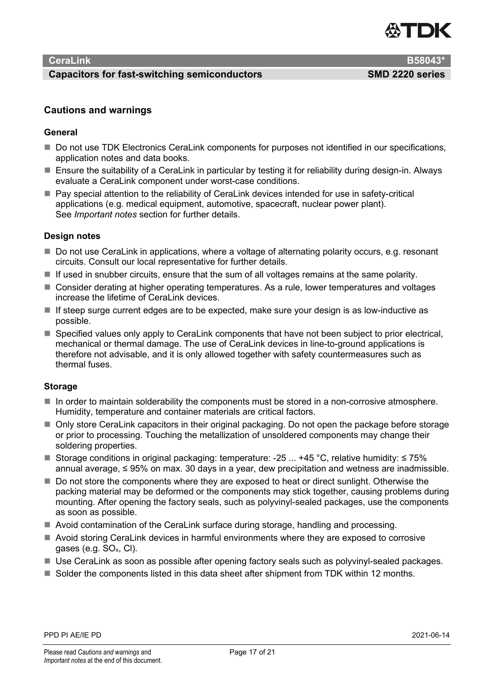

#### **Capacitors for fast-switching semiconductors SMD 2220 series**

#### **Cautions and warnings**

#### **General**

- Do not use TDK Electronics CeraLink components for purposes not identified in our specifications, application notes and data books.
- Ensure the suitability of a CeraLink in particular by testing it for reliability during design-in. Always evaluate a CeraLink component under worst-case conditions.
- Pay special attention to the reliability of CeraLink devices intended for use in safety-critical applications (e.g. medical equipment, automotive, spacecraft, nuclear power plant). See *Important notes* section for further details.

#### **Design notes**

- Do not use CeraLink in applications, where a voltage of alternating polarity occurs, e.g. resonant circuits. Consult our local representative for further details.
- $\blacksquare$  If used in snubber circuits, ensure that the sum of all voltages remains at the same polarity.
- Consider derating at higher operating temperatures. As a rule, lower temperatures and voltages increase the lifetime of CeraLink devices.
- $\blacksquare$  If steep surge current edges are to be expected, make sure your design is as low-inductive as possible.
- Specified values only apply to CeraLink components that have not been subject to prior electrical, mechanical or thermal damage. The use of CeraLink devices in line-to-ground applications is therefore not advisable, and it is only allowed together with safety countermeasures such as thermal fuses.

#### **Storage**

- In order to maintain solderability the components must be stored in a non-corrosive atmosphere. Humidity, temperature and container materials are critical factors.
- Only store CeraLink capacitors in their original packaging. Do not open the package before storage or prior to processing. Touching the metallization of unsoldered components may change their soldering properties.
- Storage conditions in original packaging: temperature: -25 ... +45 °C, relative humidity:  $\leq 75\%$ annual average, ≤ 95% on max. 30 days in a year, dew precipitation and wetness are inadmissible.
- Do not store the components where they are exposed to heat or direct sunlight. Otherwise the packing material may be deformed or the components may stick together, causing problems during mounting. After opening the factory seals, such as polyvinyl-sealed packages, use the components as soon as possible.
- Avoid contamination of the CeraLink surface during storage, handling and processing.
- Avoid storing CeraLink devices in harmful environments where they are exposed to corrosive gases (e.g.  $SO_x$ , CI).
- Use CeraLink as soon as possible after opening factory seals such as polyvinyl-sealed packages.
- Solder the components listed in this data sheet after shipment from TDK within 12 months.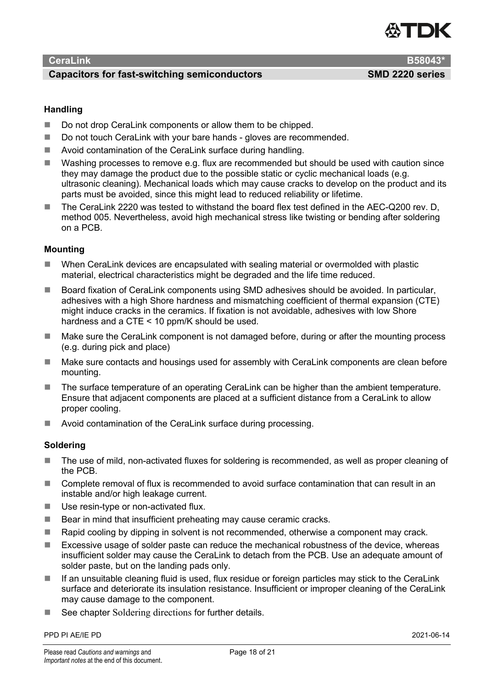#### **Capacitors for fast-switching semiconductors SMD 2220 series**



#### **Handling**

- Do not drop CeraLink components or allow them to be chipped.
- Do not touch CeraLink with your bare hands gloves are recommended.
- Avoid contamination of the CeraLink surface during handling.
- Washing processes to remove e.g. flux are recommended but should be used with caution since they may damage the product due to the possible static or cyclic mechanical loads (e.g. ultrasonic cleaning). Mechanical loads which may cause cracks to develop on the product and its parts must be avoided, since this might lead to reduced reliability or lifetime.
- The CeraLink 2220 was tested to withstand the board flex test defined in the AEC-Q200 rev. D, method 005. Nevertheless, avoid high mechanical stress like twisting or bending after soldering on a PCB.

# **Mounting**

- When CeraLink devices are encapsulated with sealing material or overmolded with plastic material, electrical characteristics might be degraded and the life time reduced.
- Board fixation of CeraLink components using SMD adhesives should be avoided. In particular, adhesives with a high Shore hardness and mismatching coefficient of thermal expansion (CTE) might induce cracks in the ceramics. If fixation is not avoidable, adhesives with low Shore hardness and a CTE < 10 ppm/K should be used.
- Make sure the CeraLink component is not damaged before, during or after the mounting process (e.g. during pick and place)
- Make sure contacts and housings used for assembly with CeraLink components are clean before mounting.
- The surface temperature of an operating CeraLink can be higher than the ambient temperature. Ensure that adjacent components are placed at a sufficient distance from a CeraLink to allow proper cooling.
- Avoid contamination of the CeraLink surface during processing.

#### **Soldering**

- The use of mild, non-activated fluxes for soldering is recommended, as well as proper cleaning of the PCB.
- Complete removal of flux is recommended to avoid surface contamination that can result in an instable and/or high leakage current.
- Use resin-type or non-activated flux.
- $\blacksquare$  Bear in mind that insufficient preheating may cause ceramic cracks.
- Rapid cooling by dipping in solvent is not recommended, otherwise a component may crack.
- Excessive usage of solder paste can reduce the mechanical robustness of the device, whereas insufficient solder may cause the CeraLink to detach from the PCB. Use an adequate amount of solder paste, but on the landing pads only.
- If an unsuitable cleaning fluid is used, flux residue or foreign particles may stick to the CeraLink surface and deteriorate its insulation resistance. Insufficient or improper cleaning of the CeraLink may cause damage to the component.
- See chapter [Soldering directions](#page-11-0) for further details.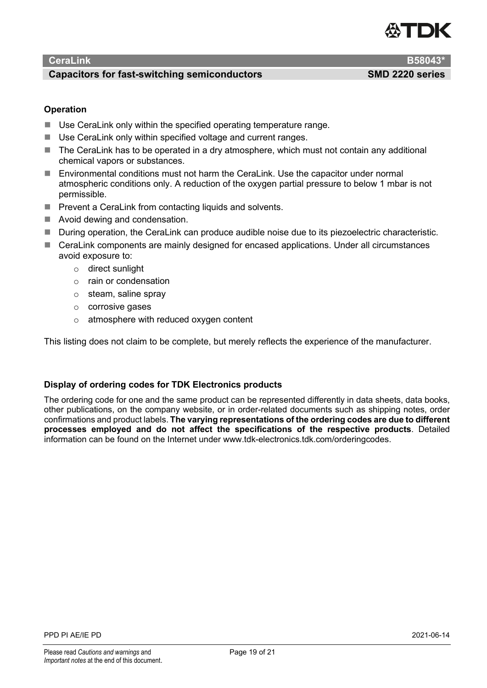

#### **Capacitors for fast-switching semiconductors SMD 2220 series**

### **Operation**

- Use CeraLink only within the specified operating temperature range.
- Use CeraLink only within specified voltage and current ranges.
- The CeraLink has to be operated in a dry atmosphere, which must not contain any additional chemical vapors or substances.
- Environmental conditions must not harm the CeraLink. Use the capacitor under normal atmospheric conditions only. A reduction of the oxygen partial pressure to below 1 mbar is not permissible.
- $\blacksquare$  Prevent a CeraLink from contacting liquids and solvents.
- Avoid dewing and condensation.
- During operation, the CeraLink can produce audible noise due to its piezoelectric characteristic.
- CeraLink components are mainly designed for encased applications. Under all circumstances avoid exposure to:
	- o direct sunlight
	- o rain or condensation
	- o steam, saline spray
	- o corrosive gases
	- o atmosphere with reduced oxygen content

This listing does not claim to be complete, but merely reflects the experience of the manufacturer.

#### **Display of ordering codes for TDK Electronics products**

The ordering code for one and the same product can be represented differently in data sheets, data books, other publications, on the company website, or in order-related documents such as shipping notes, order confirmations and product labels. **The varying representations of the ordering codes are due to different processes employed and do not affect the specifications of the respective products**. Detailed information can be found on the Internet under www.tdk-electronics.tdk.com/orderingcodes.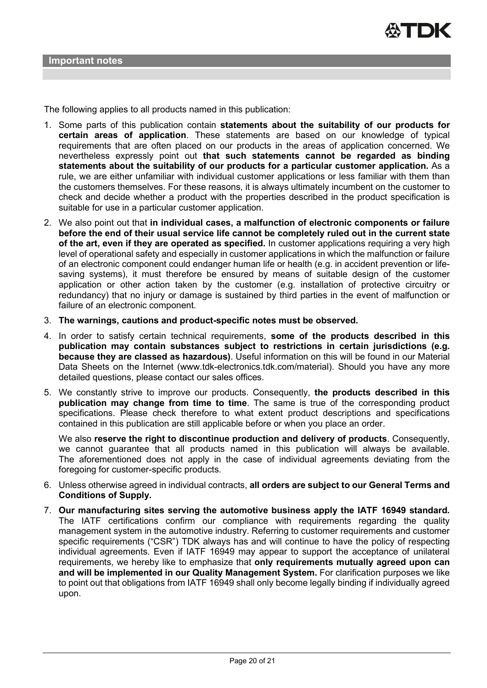The following applies to all products named in this publication:

- 1. Some parts of this publication contain **statements about the suitability of our products for certain areas of application**. These statements are based on our knowledge of typical requirements that are often placed on our products in the areas of application concerned. We nevertheless expressly point out **that such statements cannot be regarded as binding statements about the suitability of our products for a particular customer application.** As a rule, we are either unfamiliar with individual customer applications or less familiar with them than the customers themselves. For these reasons, it is always ultimately incumbent on the customer to check and decide whether a product with the properties described in the product specification is suitable for use in a particular customer application.
- 2. We also point out that **in individual cases, a malfunction of electronic components or failure before the end of their usual service life cannot be completely ruled out in the current state of the art, even if they are operated as specified.** In customer applications requiring a very high level of operational safety and especially in customer applications in which the malfunction or failure of an electronic component could endanger human life or health (e.g. in accident prevention or lifesaving systems), it must therefore be ensured by means of suitable design of the customer application or other action taken by the customer (e.g. installation of protective circuitry or redundancy) that no injury or damage is sustained by third parties in the event of malfunction or failure of an electronic component.
- 3. **The warnings, cautions and product-specific notes must be observed.**
- 4. In order to satisfy certain technical requirements, **some of the products described in this publication may contain substances subject to restrictions in certain jurisdictions (e.g. because they are classed as hazardous)**. Useful information on this will be found in our Material Data Sheets on the Internet (www.tdk-electronics.tdk.com/material). Should you have any more detailed questions, please contact our sales offices.
- 5. We constantly strive to improve our products. Consequently, **the products described in this publication may change from time to time**. The same is true of the corresponding product specifications. Please check therefore to what extent product descriptions and specifications contained in this publication are still applicable before or when you place an order.

We also **reserve the right to discontinue production and delivery of products**. Consequently, we cannot guarantee that all products named in this publication will always be available. The aforementioned does not apply in the case of individual agreements deviating from the foregoing for customer-specific products.

- 6. Unless otherwise agreed in individual contracts, **all orders are subject to our General Terms and Conditions of Supply.**
- 7. **Our manufacturing sites serving the automotive business apply the IATF 16949 standard.** The IATF certifications confirm our compliance with requirements regarding the quality management system in the automotive industry. Referring to customer requirements and customer specific requirements ("CSR") TDK always has and will continue to have the policy of respecting individual agreements. Even if IATF 16949 may appear to support the acceptance of unilateral requirements, we hereby like to emphasize that **only requirements mutually agreed upon can and will be implemented in our Quality Management System.** For clarification purposes we like to point out that obligations from IATF 16949 shall only become legally binding if individually agreed upon.